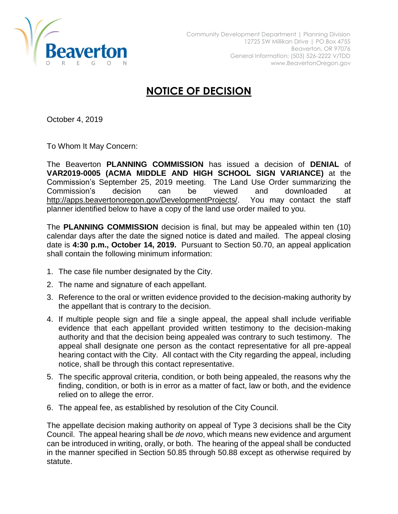

## **NOTICE OF DECISION**

October 4, 2019

To Whom It May Concern:

The Beaverton **PLANNING COMMISSION** has issued a decision of **DENIAL** of **VAR2019-0005 (ACMA MIDDLE AND HIGH SCHOOL SIGN VARIANCE)** at the Commission's September 25, 2019 meeting. The Land Use Order summarizing the Commission's decision can be viewed and downloaded at [http://apps.beavertonoregon.gov/DevelopmentProjects/.](http://apps.beavertonoregon.gov/DevelopmentProjects/) You may contact the staff planner identified below to have a copy of the land use order mailed to you.

The **PLANNING COMMISSION** decision is final, but may be appealed within ten (10) calendar days after the date the signed notice is dated and mailed. The appeal closing date is **4:30 p.m., October 14, 2019.** Pursuant to Section 50.70, an appeal application shall contain the following minimum information:

- 1. The case file number designated by the City.
- 2. The name and signature of each appellant.
- 3. Reference to the oral or written evidence provided to the decision-making authority by the appellant that is contrary to the decision.
- 4. If multiple people sign and file a single appeal, the appeal shall include verifiable evidence that each appellant provided written testimony to the decision-making authority and that the decision being appealed was contrary to such testimony. The appeal shall designate one person as the contact representative for all pre-appeal hearing contact with the City. All contact with the City regarding the appeal, including notice, shall be through this contact representative.
- 5. The specific approval criteria, condition, or both being appealed, the reasons why the finding, condition, or both is in error as a matter of fact, law or both, and the evidence relied on to allege the error.
- 6. The appeal fee, as established by resolution of the City Council.

The appellate decision making authority on appeal of Type 3 decisions shall be the City Council. The appeal hearing shall be *de novo*, which means new evidence and argument can be introduced in writing, orally, or both. The hearing of the appeal shall be conducted in the manner specified in Section 50.85 through 50.88 except as otherwise required by statute.